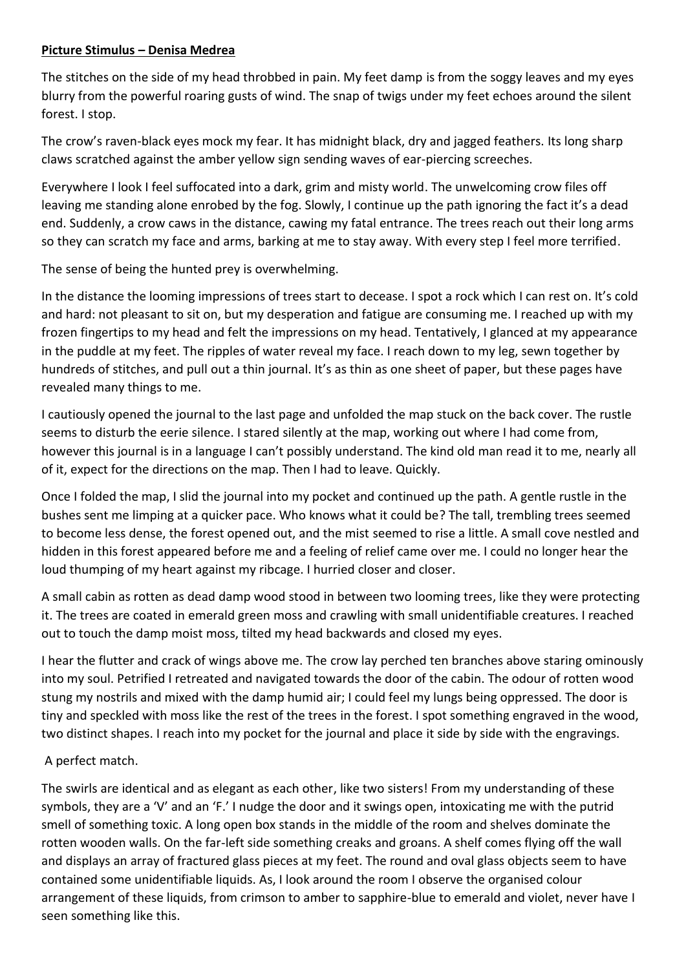## **Picture Stimulus – Denisa Medrea**

The stitches on the side of my head throbbed in pain. My feet damp is from the soggy leaves and my eyes blurry from the powerful roaring gusts of wind. The snap of twigs under my feet echoes around the silent forest. I stop.

The crow's raven-black eyes mock my fear. It has midnight black, dry and jagged feathers. Its long sharp claws scratched against the amber yellow sign sending waves of ear-piercing screeches.

Everywhere I look I feel suffocated into a dark, grim and misty world. The unwelcoming crow files off leaving me standing alone enrobed by the fog. Slowly, I continue up the path ignoring the fact it's a dead end. Suddenly, a crow caws in the distance, cawing my fatal entrance. The trees reach out their long arms so they can scratch my face and arms, barking at me to stay away. With every step I feel more terrified.

The sense of being the hunted prey is overwhelming.

In the distance the looming impressions of trees start to decease. I spot a rock which I can rest on. It's cold and hard: not pleasant to sit on, but my desperation and fatigue are consuming me. I reached up with my frozen fingertips to my head and felt the impressions on my head. Tentatively, I glanced at my appearance in the puddle at my feet. The ripples of water reveal my face. I reach down to my leg, sewn together by hundreds of stitches, and pull out a thin journal. It's as thin as one sheet of paper, but these pages have revealed many things to me.

I cautiously opened the journal to the last page and unfolded the map stuck on the back cover. The rustle seems to disturb the eerie silence. I stared silently at the map, working out where I had come from, however this journal is in a language I can't possibly understand. The kind old man read it to me, nearly all of it, expect for the directions on the map. Then I had to leave. Quickly.

Once I folded the map, I slid the journal into my pocket and continued up the path. A gentle rustle in the bushes sent me limping at a quicker pace. Who knows what it could be? The tall, trembling trees seemed to become less dense, the forest opened out, and the mist seemed to rise a little. A small cove nestled and hidden in this forest appeared before me and a feeling of relief came over me. I could no longer hear the loud thumping of my heart against my ribcage. I hurried closer and closer.

A small cabin as rotten as dead damp wood stood in between two looming trees, like they were protecting it. The trees are coated in emerald green moss and crawling with small unidentifiable creatures. I reached out to touch the damp moist moss, tilted my head backwards and closed my eyes.

I hear the flutter and crack of wings above me. The crow lay perched ten branches above staring ominously into my soul. Petrified I retreated and navigated towards the door of the cabin. The odour of rotten wood stung my nostrils and mixed with the damp humid air; I could feel my lungs being oppressed. The door is tiny and speckled with moss like the rest of the trees in the forest. I spot something engraved in the wood, two distinct shapes. I reach into my pocket for the journal and place it side by side with the engravings.

## A perfect match.

The swirls are identical and as elegant as each other, like two sisters! From my understanding of these symbols, they are a 'V' and an 'F.' I nudge the door and it swings open, intoxicating me with the putrid smell of something toxic. A long open box stands in the middle of the room and shelves dominate the rotten wooden walls. On the far-left side something creaks and groans. A shelf comes flying off the wall and displays an array of fractured glass pieces at my feet. The round and oval glass objects seem to have contained some unidentifiable liquids. As, I look around the room I observe the organised colour arrangement of these liquids, from crimson to amber to sapphire-blue to emerald and violet, never have I seen something like this.